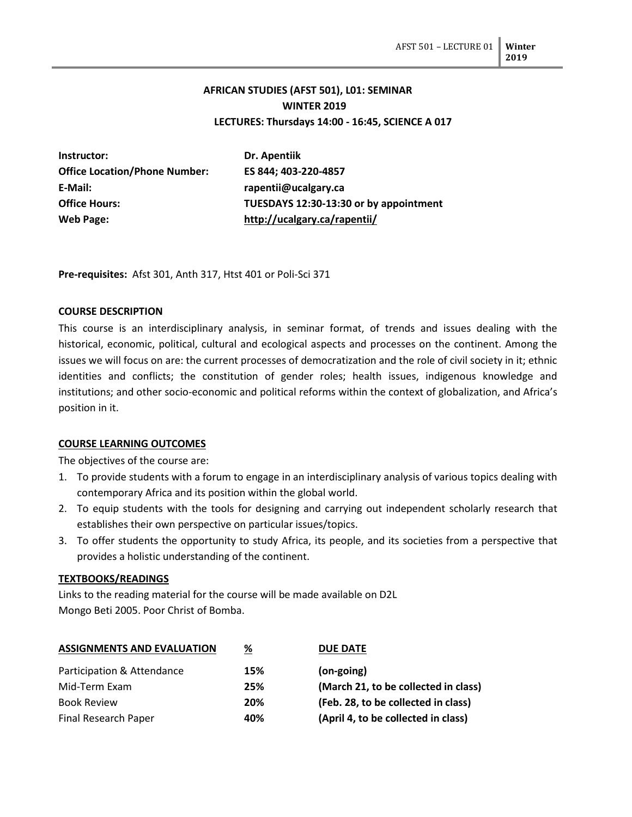# **AFRICAN STUDIES (AFST 501), L01: SEMINAR WINTER 2019 LECTURES: Thursdays 14:00 - 16:45, SCIENCE A 017**

| Instructor:                          | Dr. Apentiik                           |
|--------------------------------------|----------------------------------------|
| <b>Office Location/Phone Number:</b> | ES 844; 403-220-4857                   |
| E-Mail:                              | rapentii@ucalgary.ca                   |
| <b>Office Hours:</b>                 | TUESDAYS 12:30-13:30 or by appointment |
| Web Page:                            | http://ucalgary.ca/rapentii/           |

**Pre-requisites:** Afst 301, Anth 317, Htst 401 or Poli-Sci 371

### **COURSE DESCRIPTION**

This course is an interdisciplinary analysis, in seminar format, of trends and issues dealing with the historical, economic, political, cultural and ecological aspects and processes on the continent. Among the issues we will focus on are: the current processes of democratization and the role of civil society in it; ethnic identities and conflicts; the constitution of gender roles; health issues, indigenous knowledge and institutions; and other socio-economic and political reforms within the context of globalization, and Africa's position in it.

#### **COURSE LEARNING OUTCOMES**

The objectives of the course are:

- 1. To provide students with a forum to engage in an interdisciplinary analysis of various topics dealing with contemporary Africa and its position within the global world.
- 2. To equip students with the tools for designing and carrying out independent scholarly research that establishes their own perspective on particular issues/topics.
- 3. To offer students the opportunity to study Africa, its people, and its societies from a perspective that provides a holistic understanding of the continent.

#### **TEXTBOOKS/READINGS**

Links to the reading material for the course will be made available on D2L Mongo Beti 2005. Poor Christ of Bomba.

| <b>ASSIGNMENTS AND EVALUATION</b> | %   | <b>DUE DATE</b>                      |
|-----------------------------------|-----|--------------------------------------|
| Participation & Attendance        | 15% | $(on-going)$                         |
| Mid-Term Exam                     | 25% | (March 21, to be collected in class) |
| <b>Book Review</b>                | 20% | (Feb. 28, to be collected in class)  |
| Final Research Paper              | 40% | (April 4, to be collected in class)  |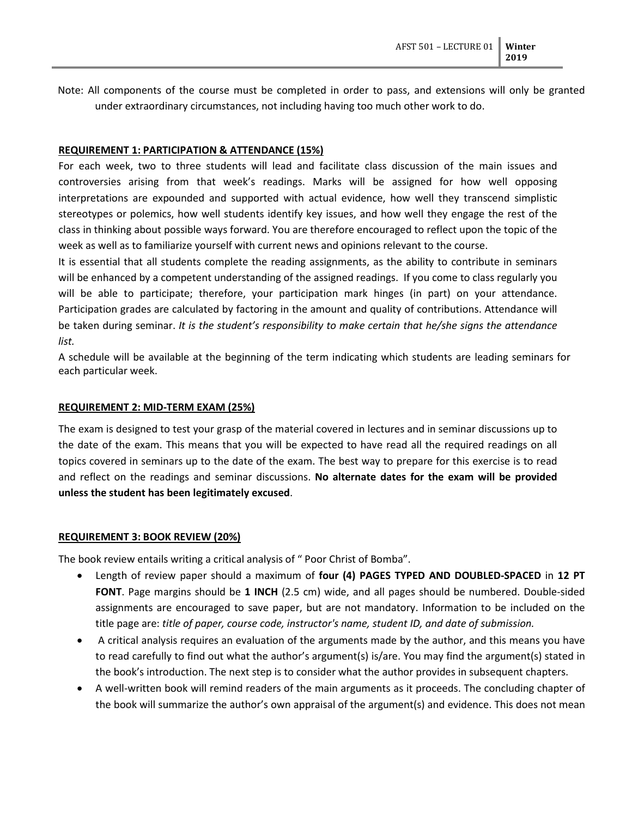Note: All components of the course must be completed in order to pass, and extensions will only be granted under extraordinary circumstances, not including having too much other work to do.

#### **REQUIREMENT 1: PARTICIPATION & ATTENDANCE (15%)**

For each week, two to three students will lead and facilitate class discussion of the main issues and controversies arising from that week's readings. Marks will be assigned for how well opposing interpretations are expounded and supported with actual evidence, how well they transcend simplistic stereotypes or polemics, how well students identify key issues, and how well they engage the rest of the class in thinking about possible ways forward. You are therefore encouraged to reflect upon the topic of the week as well as to familiarize yourself with current news and opinions relevant to the course.

It is essential that all students complete the reading assignments, as the ability to contribute in seminars will be enhanced by a competent understanding of the assigned readings. If you come to class regularly you will be able to participate; therefore, your participation mark hinges (in part) on your attendance. Participation grades are calculated by factoring in the amount and quality of contributions. Attendance will be taken during seminar. *It is the student's responsibility to make certain that he/she signs the attendance list.*

A schedule will be available at the beginning of the term indicating which students are leading seminars for each particular week.

#### **REQUIREMENT 2: MID-TERM EXAM (25%)**

The exam is designed to test your grasp of the material covered in lectures and in seminar discussions up to the date of the exam. This means that you will be expected to have read all the required readings on all topics covered in seminars up to the date of the exam. The best way to prepare for this exercise is to read and reflect on the readings and seminar discussions. **No alternate dates for the exam will be provided unless the student has been legitimately excused**.

#### **REQUIREMENT 3: BOOK REVIEW (20%)**

The book review entails writing a critical analysis of " Poor Christ of Bomba".

- Length of review paper should a maximum of **four (4) PAGES TYPED AND DOUBLED-SPACED** in **12 PT FONT**. Page margins should be **1 INCH** (2.5 cm) wide, and all pages should be numbered. Double-sided assignments are encouraged to save paper, but are not mandatory. Information to be included on the title page are: *title of paper, course code, instructor's name, student ID, and date of submission.*
- A critical analysis requires an evaluation of the arguments made by the author, and this means you have to read carefully to find out what the author's argument(s) is/are. You may find the argument(s) stated in the book's introduction. The next step is to consider what the author provides in subsequent chapters.
- A well-written book will remind readers of the main arguments as it proceeds. The concluding chapter of the book will summarize the author's own appraisal of the argument(s) and evidence. This does not mean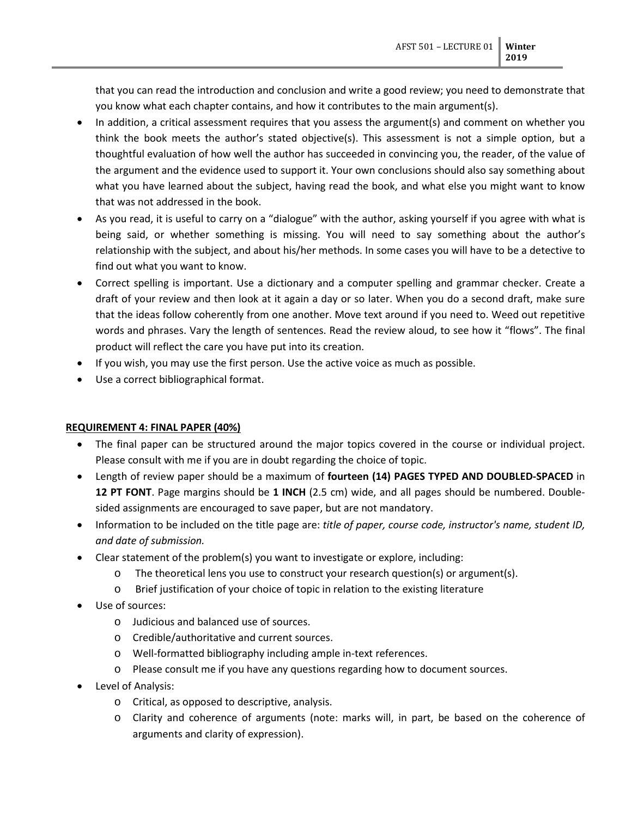that you can read the introduction and conclusion and write a good review; you need to demonstrate that you know what each chapter contains, and how it contributes to the main argument(s).

- In addition, a critical assessment requires that you assess the argument(s) and comment on whether you think the book meets the author's stated objective(s). This assessment is not a simple option, but a thoughtful evaluation of how well the author has succeeded in convincing you, the reader, of the value of the argument and the evidence used to support it. Your own conclusions should also say something about what you have learned about the subject, having read the book, and what else you might want to know that was not addressed in the book.
- As you read, it is useful to carry on a "dialogue" with the author, asking yourself if you agree with what is being said, or whether something is missing. You will need to say something about the author's relationship with the subject, and about his/her methods. In some cases you will have to be a detective to find out what you want to know.
- Correct spelling is important. Use a dictionary and a computer spelling and grammar checker. Create a draft of your review and then look at it again a day or so later. When you do a second draft, make sure that the ideas follow coherently from one another. Move text around if you need to. Weed out repetitive words and phrases. Vary the length of sentences. Read the review aloud, to see how it "flows". The final product will reflect the care you have put into its creation.
- If you wish, you may use the first person. Use the active voice as much as possible.
- Use a correct bibliographical format.

### **REQUIREMENT 4: FINAL PAPER (40%)**

- The final paper can be structured around the major topics covered in the course or individual project. Please consult with me if you are in doubt regarding the choice of topic.
- Length of review paper should be a maximum of **fourteen (14) PAGES TYPED AND DOUBLED-SPACED** in **12 PT FONT**. Page margins should be **1 INCH** (2.5 cm) wide, and all pages should be numbered. Doublesided assignments are encouraged to save paper, but are not mandatory.
- Information to be included on the title page are: *title of paper, course code, instructor's name, student ID, and date of submission.*
- Clear statement of the problem(s) you want to investigate or explore, including:
	- o The theoretical lens you use to construct your research question(s) or argument(s).
	- o Brief justification of your choice of topic in relation to the existing literature
- Use of sources:
	- o Judicious and balanced use of sources.
	- o Credible/authoritative and current sources.
	- o Well-formatted bibliography including ample in-text references.
	- o Please consult me if you have any questions regarding how to document sources.
- Level of Analysis:
	- o Critical, as opposed to descriptive, analysis.
	- o Clarity and coherence of arguments (note: marks will, in part, be based on the coherence of arguments and clarity of expression).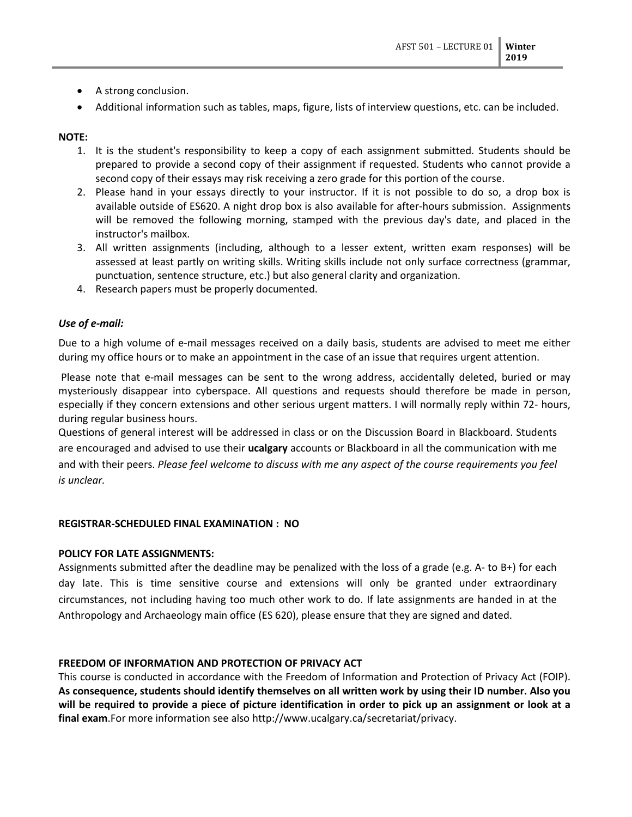- A strong conclusion.
- Additional information such as tables, maps, figure, lists of interview questions, etc. can be included.

## **NOTE:**

- 1. It is the student's responsibility to keep a copy of each assignment submitted. Students should be prepared to provide a second copy of their assignment if requested. Students who cannot provide a second copy of their essays may risk receiving a zero grade for this portion of the course.
- 2. Please hand in your essays directly to your instructor. If it is not possible to do so, a drop box is available outside of ES620. A night drop box is also available for after-hours submission. Assignments will be removed the following morning, stamped with the previous day's date, and placed in the instructor's mailbox.
- 3. All written assignments (including, although to a lesser extent, written exam responses) will be assessed at least partly on writing skills. Writing skills include not only surface correctness (grammar, punctuation, sentence structure, etc.) but also general clarity and organization.
- 4. Research papers must be properly documented.

### *Use of e-mail:*

Due to a high volume of e-mail messages received on a daily basis, students are advised to meet me either during my office hours or to make an appointment in the case of an issue that requires urgent attention.

Please note that e-mail messages can be sent to the wrong address, accidentally deleted, buried or may mysteriously disappear into cyberspace. All questions and requests should therefore be made in person, especially if they concern extensions and other serious urgent matters. I will normally reply within 72- hours, during regular business hours.

Questions of general interest will be addressed in class or on the Discussion Board in Blackboard. Students are encouraged and advised to use their **ucalgary** accounts or Blackboard in all the communication with me and with their peers. *Please feel welcome to discuss with me any aspect of the course requirements you feel is unclear.*

### **REGISTRAR-SCHEDULED FINAL EXAMINATION : NO**

### **POLICY FOR LATE ASSIGNMENTS:**

Assignments submitted after the deadline may be penalized with the loss of a grade (e.g. A- to B+) for each day late. This is time sensitive course and extensions will only be granted under extraordinary circumstances, not including having too much other work to do. If late assignments are handed in at the Anthropology and Archaeology main office (ES 620), please ensure that they are signed and dated.

## **FREEDOM OF INFORMATION AND PROTECTION OF PRIVACY ACT**

This course is conducted in accordance with the Freedom of Information and Protection of Privacy Act (FOIP). **As consequence, students should identify themselves on all written work by using their ID number. Also you will be required to provide a piece of picture identification in order to pick up an assignment or look at a final exam**.For more information see also http://www.ucalgary.ca/secretariat/privacy.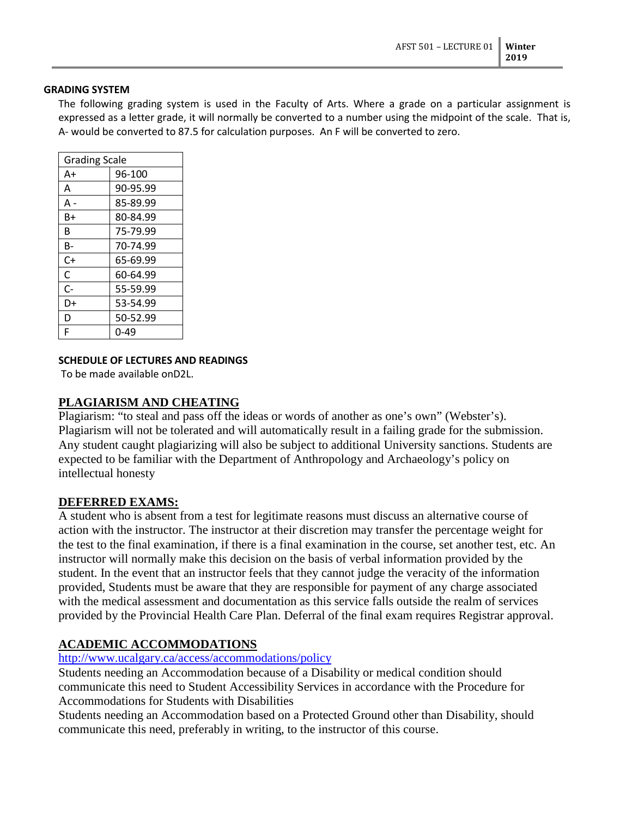#### **GRADING SYSTEM**

The following grading system is used in the Faculty of Arts. Where a grade on a particular assignment is expressed as a letter grade, it will normally be converted to a number using the midpoint of the scale. That is, A- would be converted to 87.5 for calculation purposes. An F will be converted to zero.

| <b>Grading Scale</b> |          |  |
|----------------------|----------|--|
| A+                   | 96-100   |  |
| А                    | 90-95.99 |  |
| А -                  | 85-89.99 |  |
| B+                   | 80-84.99 |  |
| R                    | 75-79.99 |  |
| в-                   | 70-74.99 |  |
| C+                   | 65-69.99 |  |
| C                    | 60-64.99 |  |
| $C -$                | 55-59.99 |  |
| D+                   | 53-54.99 |  |
| D                    | 50-52.99 |  |
| F                    | 0-49     |  |
|                      |          |  |

### **SCHEDULE OF LECTURES AND READINGS**

To be made available onD2L.

## **PLAGIARISM AND CHEATING**

Plagiarism: "to steal and pass off the ideas or words of another as one's own" (Webster's). Plagiarism will not be tolerated and will automatically result in a failing grade for the submission. Any student caught plagiarizing will also be subject to additional University sanctions. Students are expected to be familiar with the Department of Anthropology and Archaeology's policy on intellectual honesty

## **DEFERRED EXAMS:**

A student who is absent from a test for legitimate reasons must discuss an alternative course of action with the instructor. The instructor at their discretion may transfer the percentage weight for the test to the final examination, if there is a final examination in the course, set another test, etc. An instructor will normally make this decision on the basis of verbal information provided by the student. In the event that an instructor feels that they cannot judge the veracity of the information provided, Students must be aware that they are responsible for payment of any charge associated with the medical assessment and documentation as this service falls outside the realm of services provided by the Provincial Health Care Plan. Deferral of the final exam requires Registrar approval.

## **ACADEMIC ACCOMMODATIONS**

## <http://www.ucalgary.ca/access/accommodations/policy>

Students needing an Accommodation because of a Disability or medical condition should communicate this need to Student Accessibility Services in accordance with the Procedure for Accommodations for Students with Disabilities

Students needing an Accommodation based on a Protected Ground other than Disability, should communicate this need, preferably in writing, to the instructor of this course.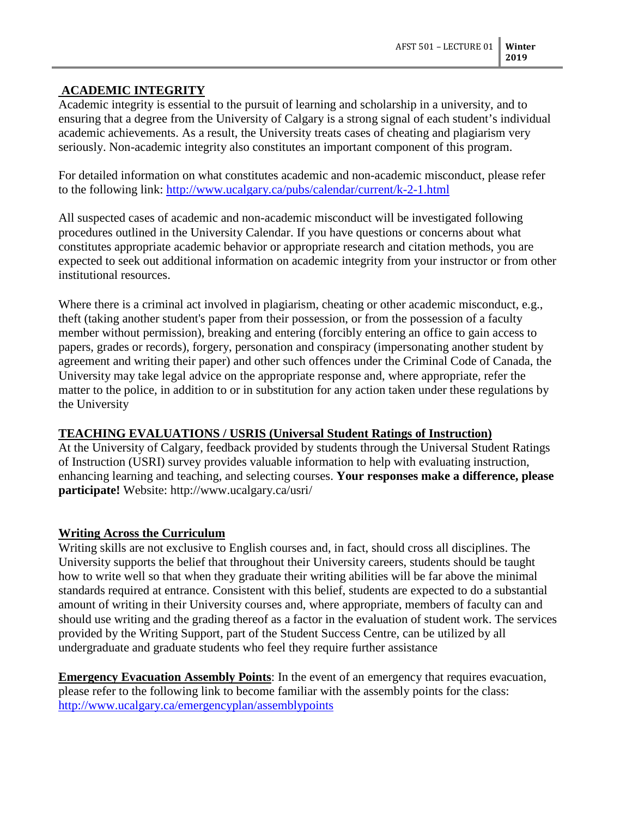# **ACADEMIC INTEGRITY**

Academic integrity is essential to the pursuit of learning and scholarship in a university, and to ensuring that a degree from the University of Calgary is a strong signal of each student's individual academic achievements. As a result, the University treats cases of cheating and plagiarism very seriously. Non-academic integrity also constitutes an important component of this program.

For detailed information on what constitutes academic and non-academic misconduct, please refer to the following link:<http://www.ucalgary.ca/pubs/calendar/current/k-2-1.html>

All suspected cases of academic and non-academic misconduct will be investigated following procedures outlined in the University Calendar. If you have questions or concerns about what constitutes appropriate academic behavior or appropriate research and citation methods, you are expected to seek out additional information on academic integrity from your instructor or from other institutional resources.

Where there is a criminal act involved in plagiarism, cheating or other academic misconduct, e.g., theft (taking another student's paper from their possession, or from the possession of a faculty member without permission), breaking and entering (forcibly entering an office to gain access to papers, grades or records), forgery, personation and conspiracy (impersonating another student by agreement and writing their paper) and other such offences under the Criminal Code of Canada, the University may take legal advice on the appropriate response and, where appropriate, refer the matter to the police, in addition to or in substitution for any action taken under these regulations by the University

## **TEACHING EVALUATIONS / USRIS (Universal Student Ratings of Instruction)**

At the University of Calgary, feedback provided by students through the Universal Student Ratings of Instruction (USRI) survey provides valuable information to help with evaluating instruction, enhancing learning and teaching, and selecting courses. **Your responses make a difference, please participate!** Website: http://www.ucalgary.ca/usri/

## **Writing Across the Curriculum**

Writing skills are not exclusive to English courses and, in fact, should cross all disciplines. The University supports the belief that throughout their University careers, students should be taught how to write well so that when they graduate their writing abilities will be far above the minimal standards required at entrance. Consistent with this belief, students are expected to do a substantial amount of writing in their University courses and, where appropriate, members of faculty can and should use writing and the grading thereof as a factor in the evaluation of student work. The services provided by the Writing Support, part of the Student Success Centre, can be utilized by all undergraduate and graduate students who feel they require further assistance

**Emergency Evacuation Assembly Points**: In the event of an emergency that requires evacuation, please refer to the following link to become familiar with the assembly points for the class: <http://www.ucalgary.ca/emergencyplan/assemblypoints>